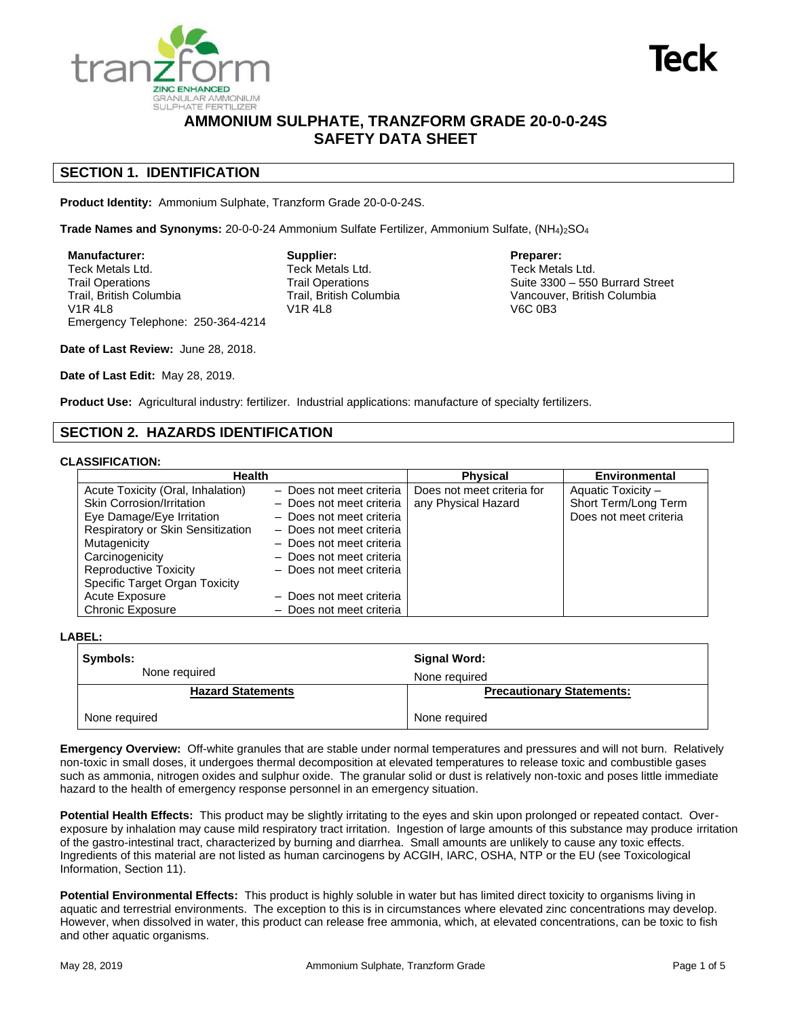



# **AMMONIUM SULPHATE, TRANZFORM GRADE 20-0-0-24S SAFETY DATA SHEET**

## **SECTION 1. IDENTIFICATION**

**Product Identity:** Ammonium Sulphate, Tranzform Grade 20-0-0-24S.

Trade Names and Synonyms: 20-0-0-24 Ammonium Sulfate Fertilizer, Ammonium Sulfate, (NH4)<sub>2</sub>SO<sub>4</sub>

**Manufacturer:** Teck Metals Ltd. Trail Operations Trail, British Columbia V1R 4L8 Emergency Telephone: 250-364-4214 **Supplier:** Teck Metals Ltd. Trail Operations Trail, British Columbia V1R 4L8

**Preparer:** Teck Metals Ltd. Suite 3300 – 550 Burrard Street Vancouver, British Columbia V6C 0B3

**Date of Last Review:** June 28, 2018.

**Date of Last Edit:** May 28, 2019.

**Product Use:** Agricultural industry: fertilizer. Industrial applications: manufacture of specialty fertilizers.

### **SECTION 2. HAZARDS IDENTIFICATION**

#### **CLASSIFICATION:**

| <b>Health</b>                     |                          | <b>Physical</b>            | Environmental          |
|-----------------------------------|--------------------------|----------------------------|------------------------|
| Acute Toxicity (Oral, Inhalation) | - Does not meet criteria | Does not meet criteria for | Aquatic Toxicity -     |
| Skin Corrosion/Irritation         | - Does not meet criteria | any Physical Hazard        | Short Term/Long Term   |
| Eye Damage/Eye Irritation         | - Does not meet criteria |                            | Does not meet criteria |
| Respiratory or Skin Sensitization | - Does not meet criteria |                            |                        |
| Mutagenicity                      | - Does not meet criteria |                            |                        |
| Carcinogenicity                   | - Does not meet criteria |                            |                        |
| <b>Reproductive Toxicity</b>      | - Does not meet criteria |                            |                        |
| Specific Target Organ Toxicity    |                          |                            |                        |
| Acute Exposure                    | - Does not meet criteria |                            |                        |
| <b>Chronic Exposure</b>           | - Does not meet criteria |                            |                        |

**LABEL:**

| Symbols:<br>None required | Signal Word:<br>None required    |  |
|---------------------------|----------------------------------|--|
| <b>Hazard Statements</b>  | <b>Precautionary Statements:</b> |  |
| None required             | None required                    |  |

**Emergency Overview:** Off-white granules that are stable under normal temperatures and pressures and will not burn. Relatively non-toxic in small doses, it undergoes thermal decomposition at elevated temperatures to release toxic and combustible gases such as ammonia, nitrogen oxides and sulphur oxide. The granular solid or dust is relatively non-toxic and poses little immediate hazard to the health of emergency response personnel in an emergency situation.

**Potential Health Effects:** This product may be slightly irritating to the eyes and skin upon prolonged or repeated contact. Overexposure by inhalation may cause mild respiratory tract irritation. Ingestion of large amounts of this substance may produce irritation of the gastro-intestinal tract, characterized by burning and diarrhea. Small amounts are unlikely to cause any toxic effects. Ingredients of this material are not listed as human carcinogens by ACGIH, IARC, OSHA, NTP or the EU (see Toxicological Information, Section 11).

**Potential Environmental Effects:** This product is highly soluble in water but has limited direct toxicity to organisms living in aquatic and terrestrial environments. The exception to this is in circumstances where elevated zinc concentrations may develop. However, when dissolved in water, this product can release free ammonia, which, at elevated concentrations, can be toxic to fish and other aquatic organisms.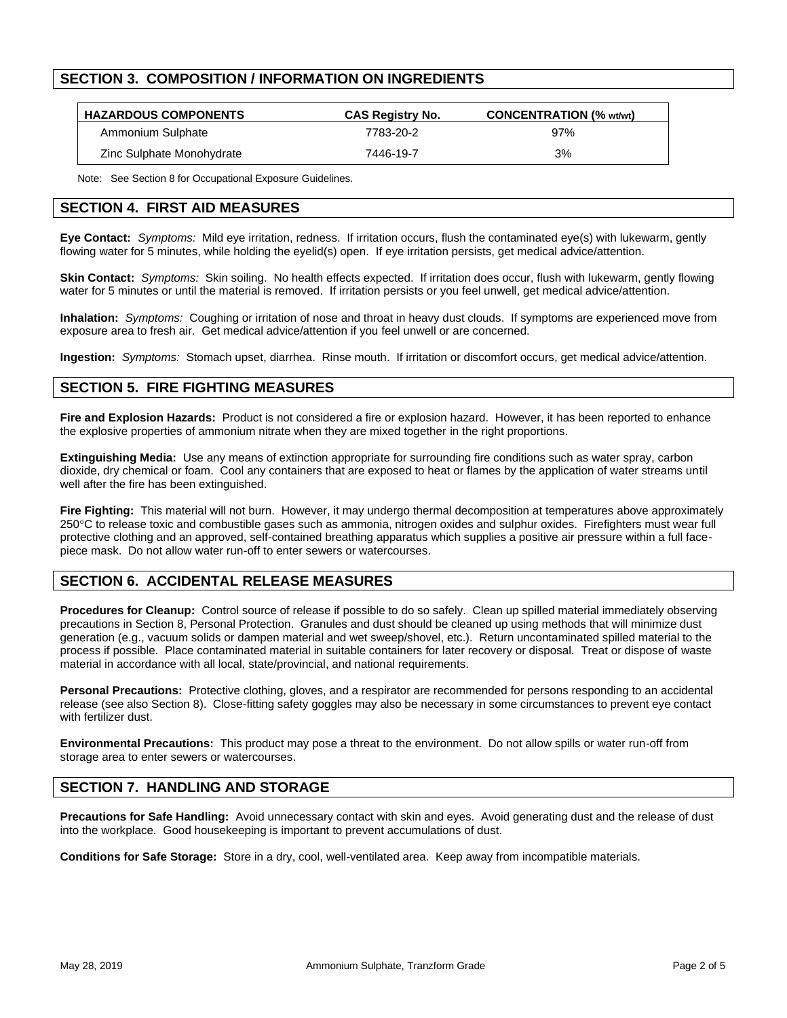## **SECTION 3. COMPOSITION / INFORMATION ON INGREDIENTS**

| <b>HAZARDOUS COMPONENTS</b> | <b>CAS Registry No.</b> | <b>CONCENTRATION (% wt/wt)</b> |
|-----------------------------|-------------------------|--------------------------------|
| Ammonium Sulphate           | 7783-20-2               | 97%                            |
| Zinc Sulphate Monohydrate   | 7446-19-7               | 3%                             |

Note: See Section 8 for Occupational Exposure Guidelines.

## **SECTION 4. FIRST AID MEASURES**

**Eye Contact:** *Symptoms:* Mild eye irritation, redness. If irritation occurs, flush the contaminated eye(s) with lukewarm, gently flowing water for 5 minutes, while holding the evelid(s) open. If eve irritation persists, get medical advice/attention.

**Skin Contact:** *Symptoms:* Skin soiling. No health effects expected. If irritation does occur, flush with lukewarm, gently flowing water for 5 minutes or until the material is removed. If irritation persists or you feel unwell, get medical advice/attention.

**Inhalation:** *Symptoms:* Coughing or irritation of nose and throat in heavy dust clouds. If symptoms are experienced move from exposure area to fresh air. Get medical advice/attention if you feel unwell or are concerned.

**Ingestion:** *Symptoms:* Stomach upset, diarrhea. Rinse mouth. If irritation or discomfort occurs, get medical advice/attention.

## **SECTION 5. FIRE FIGHTING MEASURES**

**Fire and Explosion Hazards:** Product is not considered a fire or explosion hazard. However, it has been reported to enhance the explosive properties of ammonium nitrate when they are mixed together in the right proportions.

**Extinguishing Media:** Use any means of extinction appropriate for surrounding fire conditions such as water spray, carbon dioxide, dry chemical or foam. Cool any containers that are exposed to heat or flames by the application of water streams until well after the fire has been extinguished.

**Fire Fighting:** This material will not burn. However, it may undergo thermal decomposition at temperatures above approximately 250°C to release toxic and combustible gases such as ammonia, nitrogen oxides and sulphur oxides. Firefighters must wear full protective clothing and an approved, self-contained breathing apparatus which supplies a positive air pressure within a full facepiece mask. Do not allow water run-off to enter sewers or watercourses.

## **SECTION 6. ACCIDENTAL RELEASE MEASURES**

**Procedures for Cleanup:** Control source of release if possible to do so safely. Clean up spilled material immediately observing precautions in Section 8, Personal Protection. Granules and dust should be cleaned up using methods that will minimize dust generation (e.g., vacuum solids or dampen material and wet sweep/shovel, etc.). Return uncontaminated spilled material to the process if possible. Place contaminated material in suitable containers for later recovery or disposal. Treat or dispose of waste material in accordance with all local, state/provincial, and national requirements.

**Personal Precautions:** Protective clothing, gloves, and a respirator are recommended for persons responding to an accidental release (see also Section 8). Close-fitting safety goggles may also be necessary in some circumstances to prevent eye contact with fertilizer dust.

**Environmental Precautions:** This product may pose a threat to the environment. Do not allow spills or water run-off from storage area to enter sewers or watercourses.

## **SECTION 7. HANDLING AND STORAGE**

**Precautions for Safe Handling:** Avoid unnecessary contact with skin and eyes. Avoid generating dust and the release of dust into the workplace. Good housekeeping is important to prevent accumulations of dust.

**Conditions for Safe Storage:** Store in a dry, cool, well-ventilated area. Keep away from incompatible materials.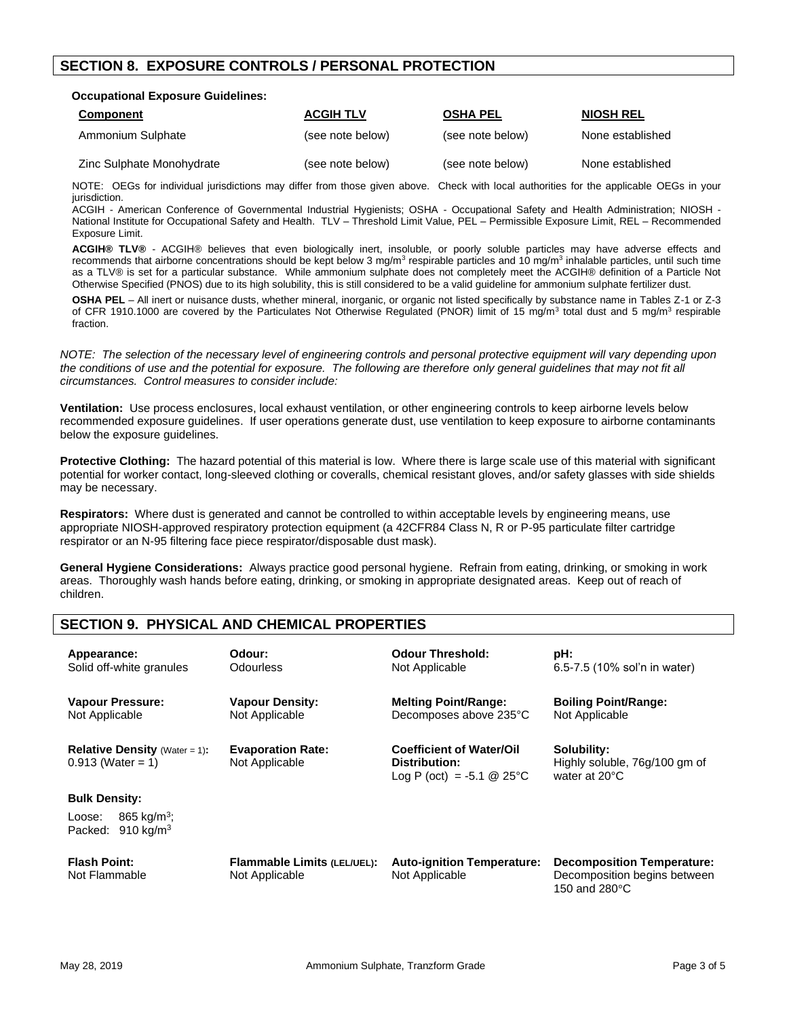## **SECTION 8. EXPOSURE CONTROLS / PERSONAL PROTECTION**

#### **Occupational Exposure Guidelines:**

| <b>Component</b>          | <b>ACGIH TLV</b> | <b>OSHA PEL</b>  | <b>NIOSH REL</b> |
|---------------------------|------------------|------------------|------------------|
| Ammonium Sulphate         | (see note below) | (see note below) | None established |
| Zinc Sulphate Monohydrate | (see note below) | (see note below) | None established |

NOTE: OEGs for individual jurisdictions may differ from those given above. Check with local authorities for the applicable OEGs in your jurisdiction.

ACGIH - American Conference of Governmental Industrial Hygienists; OSHA - Occupational Safety and Health Administration; NIOSH - National Institute for Occupational Safety and Health. TLV – Threshold Limit Value, PEL – Permissible Exposure Limit, REL – Recommended Exposure Limit.

**ACGIH® TLV®** - ACGIH® believes that even biologically inert, insoluble, or poorly soluble particles may have adverse effects and recommends that airborne concentrations should be kept below 3 mg/m<sup>3</sup> respirable particles and 10 mg/m<sup>3</sup> inhalable particles, until such time as a TLV® is set for a particular substance. While ammonium sulphate does not completely meet the ACGIH® definition of a Particle Not Otherwise Specified (PNOS) due to its high solubility, this is still considered to be a valid guideline for ammonium sulphate fertilizer dust.

**OSHA PEL** – All inert or nuisance dusts, whether mineral, inorganic, or organic not listed specifically by substance name in Tables Z-1 or Z-3 of CFR 1910.1000 are covered by the Particulates Not Otherwise Regulated (PNOR) limit of 15 mg/m<sup>3</sup> total dust and 5 mg/m<sup>3</sup> respirable fraction.

*NOTE: The selection of the necessary level of engineering controls and personal protective equipment will vary depending upon the conditions of use and the potential for exposure. The following are therefore only general guidelines that may not fit all circumstances. Control measures to consider include:*

**Ventilation:** Use process enclosures, local exhaust ventilation, or other engineering controls to keep airborne levels below recommended exposure guidelines. If user operations generate dust, use ventilation to keep exposure to airborne contaminants below the exposure guidelines.

**Protective Clothing:** The hazard potential of this material is low. Where there is large scale use of this material with significant potential for worker contact, long-sleeved clothing or coveralls, chemical resistant gloves, and/or safety glasses with side shields may be necessary.

**Respirators:** Where dust is generated and cannot be controlled to within acceptable levels by engineering means, use appropriate NIOSH-approved respiratory protection equipment (a 42CFR84 Class N, R or P-95 particulate filter cartridge respirator or an N-95 filtering face piece respirator/disposable dust mask).

**General Hygiene Considerations:** Always practice good personal hygiene. Refrain from eating, drinking, or smoking in work areas. Thoroughly wash hands before eating, drinking, or smoking in appropriate designated areas. Keep out of reach of children.

## **SECTION 9. PHYSICAL AND CHEMICAL PROPERTIES**

| Appearance:<br>Solid off-white granules                               | Odour:<br><b>Odourless</b>                    | <b>Odour Threshold:</b><br>Not Applicable                                        | pH:<br>6.5-7.5 (10% sol'n in water)                                                |
|-----------------------------------------------------------------------|-----------------------------------------------|----------------------------------------------------------------------------------|------------------------------------------------------------------------------------|
| <b>Vapour Pressure:</b><br>Not Applicable                             | <b>Vapour Density:</b><br>Not Applicable      | <b>Melting Point/Range:</b><br>Decomposes above 235°C                            | <b>Boiling Point/Range:</b><br>Not Applicable                                      |
| <b>Relative Density</b> (Water = 1):<br>$0.913$ (Water = 1)           | <b>Evaporation Rate:</b><br>Not Applicable    | <b>Coefficient of Water/Oil</b><br>Distribution:<br>Log P (oct) = $-5.1$ @ 25 °C | Solubility:<br>Highly soluble, 76g/100 gm of<br>water at 20°C                      |
| <b>Bulk Density:</b>                                                  |                                               |                                                                                  |                                                                                    |
| 865 kg/m <sup>3</sup> ;<br>Loose:<br>910 kg/m <sup>3</sup><br>Packed: |                                               |                                                                                  |                                                                                    |
| <b>Flash Point:</b><br>Not Flammable                                  | Flammable Limits (LEL/UEL):<br>Not Applicable | <b>Auto-ignition Temperature:</b><br>Not Applicable                              | <b>Decomposition Temperature:</b><br>Decomposition begins between<br>150 and 280°C |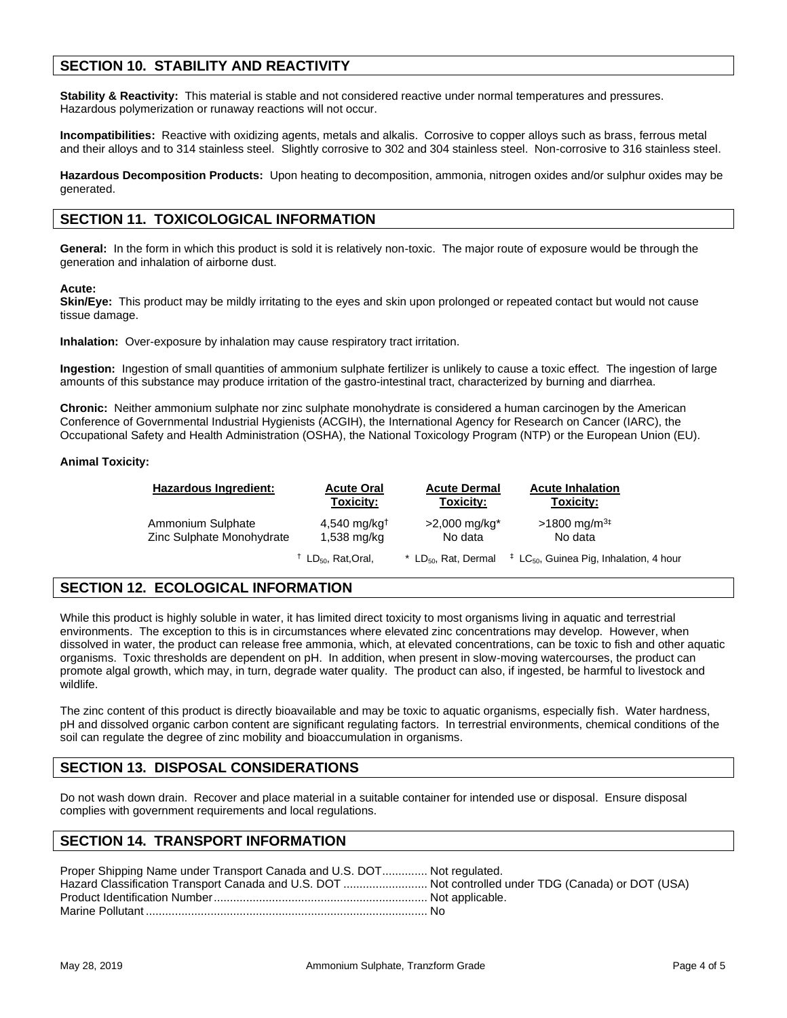## **SECTION 10. STABILITY AND REACTIVITY**

**Stability & Reactivity:** This material is stable and not considered reactive under normal temperatures and pressures. Hazardous polymerization or runaway reactions will not occur.

**Incompatibilities:** Reactive with oxidizing agents, metals and alkalis. Corrosive to copper alloys such as brass, ferrous metal and their alloys and to 314 stainless steel. Slightly corrosive to 302 and 304 stainless steel. Non-corrosive to 316 stainless steel.

**Hazardous Decomposition Products:** Upon heating to decomposition, ammonia, nitrogen oxides and/or sulphur oxides may be generated.

### **SECTION 11. TOXICOLOGICAL INFORMATION**

**General:** In the form in which this product is sold it is relatively non-toxic. The major route of exposure would be through the generation and inhalation of airborne dust.

#### **Acute:**

**Skin/Eye:** This product may be mildly irritating to the eyes and skin upon prolonged or repeated contact but would not cause tissue damage.

**Inhalation:** Over-exposure by inhalation may cause respiratory tract irritation.

**Ingestion:** Ingestion of small quantities of ammonium sulphate fertilizer is unlikely to cause a toxic effect. The ingestion of large amounts of this substance may produce irritation of the gastro-intestinal tract, characterized by burning and diarrhea.

**Chronic:** Neither ammonium sulphate nor zinc sulphate monohydrate is considered a human carcinogen by the American Conference of Governmental Industrial Hygienists (ACGIH), the International Agency for Research on Cancer (IARC), the Occupational Safety and Health Administration (OSHA), the National Toxicology Program (NTP) or the European Union (EU).

#### **Animal Toxicity:**

| <b>Hazardous Ingredient:</b> | <b>Acute Oral</b>                         | <b>Acute Dermal</b>              | <b>Acute Inhalation</b>                                      |
|------------------------------|-------------------------------------------|----------------------------------|--------------------------------------------------------------|
|                              | Toxicity:                                 | Toxicity:                        | Toxicity:                                                    |
| Ammonium Sulphate            | $4,540$ mg/kg <sup>†</sup>                | $>2,000$ mg/kg <sup>*</sup>      | $>1800$ mg/m <sup>3‡</sup>                                   |
| Zinc Sulphate Monohydrate    | 1,538 mg/kg                               | No data                          | No data                                                      |
|                              | <sup>†</sup> LD <sub>50</sub> , Rat,Oral, | * LD <sub>50</sub> , Rat. Dermal | $\ddagger$ LC <sub>50</sub> , Guinea Pig, Inhalation, 4 hour |

## **SECTION 12. ECOLOGICAL INFORMATION**

While this product is highly soluble in water, it has limited direct toxicity to most organisms living in aquatic and terrestrial environments. The exception to this is in circumstances where elevated zinc concentrations may develop. However, when dissolved in water, the product can release free ammonia, which, at elevated concentrations, can be toxic to fish and other aquatic organisms. Toxic thresholds are dependent on pH. In addition, when present in slow-moving watercourses, the product can promote algal growth, which may, in turn, degrade water quality. The product can also, if ingested, be harmful to livestock and wildlife.

The zinc content of this product is directly bioavailable and may be toxic to aquatic organisms, especially fish. Water hardness, pH and dissolved organic carbon content are significant regulating factors. In terrestrial environments, chemical conditions of the soil can regulate the degree of zinc mobility and bioaccumulation in organisms.

## **SECTION 13. DISPOSAL CONSIDERATIONS**

Do not wash down drain. Recover and place material in a suitable container for intended use or disposal. Ensure disposal complies with government requirements and local regulations.

## **SECTION 14. TRANSPORT INFORMATION**

| Proper Shipping Name under Transport Canada and U.S. DOT Not regulated.                             |  |
|-----------------------------------------------------------------------------------------------------|--|
| Hazard Classification Transport Canada and U.S. DOT  Not controlled under TDG (Canada) or DOT (USA) |  |
|                                                                                                     |  |
|                                                                                                     |  |